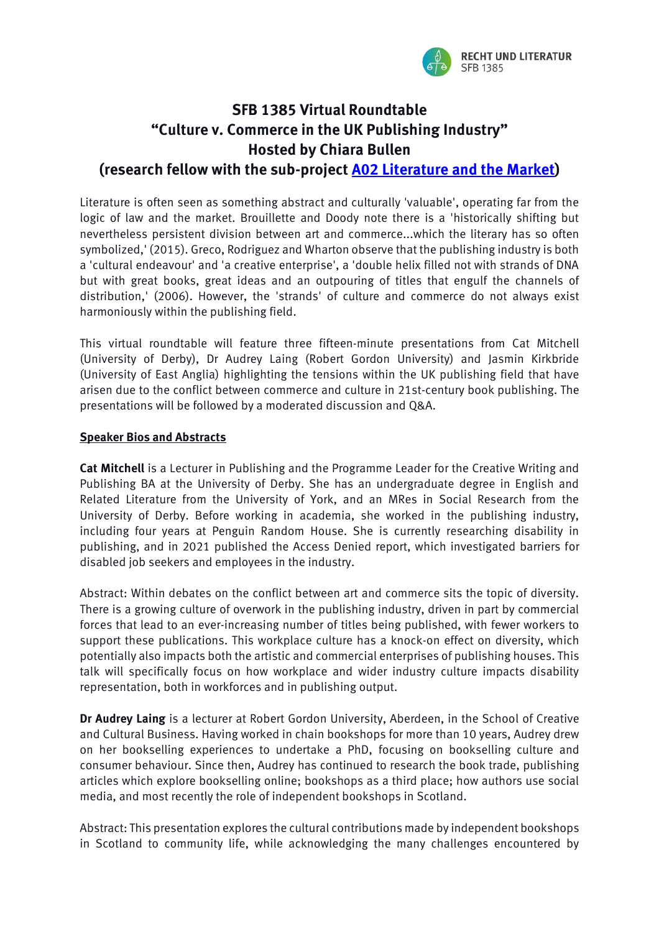

## **SFB 1385 Virtual Roundtable "Culture v. Commerce in the UK Publishing Industry" Hosted by Chiara Bullen**

## **(research fellow with the sub-project [A02 Literature and the Market\)](https://www.uni-muenster.de/SFB1385/en/projektbereicha/teilprojekta02/index.html)**

Literature is often seen as something abstract and culturally 'valuable', operating far from the logic of law and the market. Brouillette and Doody note there is a 'historically shifting but nevertheless persistent division between art and commerce...which the literary has so often symbolized,' (2015). Greco, Rodriguez and Wharton observe that the publishing industry is both a 'cultural endeavour' and 'a creative enterprise', a 'double helix filled not with strands of DNA but with great books, great ideas and an outpouring of titles that engulf the channels of distribution,' (2006). However, the 'strands' of culture and commerce do not always exist harmoniously within the publishing field.

This virtual roundtable will feature three fifteen-minute presentations from Cat Mitchell (University of Derby), Dr Audrey Laing (Robert Gordon University) and Jasmin Kirkbride (University of East Anglia) highlighting the tensions within the UK publishing field that have arisen due to the conflict between commerce and culture in 21st-century book publishing. The presentations will be followed by a moderated discussion and Q&A.

## **Speaker Bios and Abstracts**

**Cat Mitchell** is a Lecturer in Publishing and the Programme Leader for the Creative Writing and Publishing BA at the University of Derby. She has an undergraduate degree in English and Related Literature from the University of York, and an MRes in Social Research from the University of Derby. Before working in academia, she worked in the publishing industry, including four years at Penguin Random House. She is currently researching disability in publishing, and in 2021 published the Access Denied report, which investigated barriers for disabled job seekers and employees in the industry.

Abstract: Within debates on the conflict between art and commerce sits the topic of diversity. There is a growing culture of overwork in the publishing industry, driven in part by commercial forces that lead to an ever-increasing number of titles being published, with fewer workers to support these publications. This workplace culture has a knock-on effect on diversity, which potentially also impacts both the artistic and commercial enterprises of publishing houses. This talk will specifically focus on how workplace and wider industry culture impacts disability representation, both in workforces and in publishing output.

**Dr Audrey Laing** is a lecturer at Robert Gordon University, Aberdeen, in the School of Creative and Cultural Business. Having worked in chain bookshops for more than 10 years, Audrey drew on her bookselling experiences to undertake a PhD, focusing on bookselling culture and consumer behaviour. Since then, Audrey has continued to research the book trade, publishing articles which explore bookselling online; bookshops as a third place; how authors use social media, and most recently the role of independent bookshops in Scotland.

Abstract: This presentation explores the cultural contributions made by independent bookshops in Scotland to community life, while acknowledging the many challenges encountered by